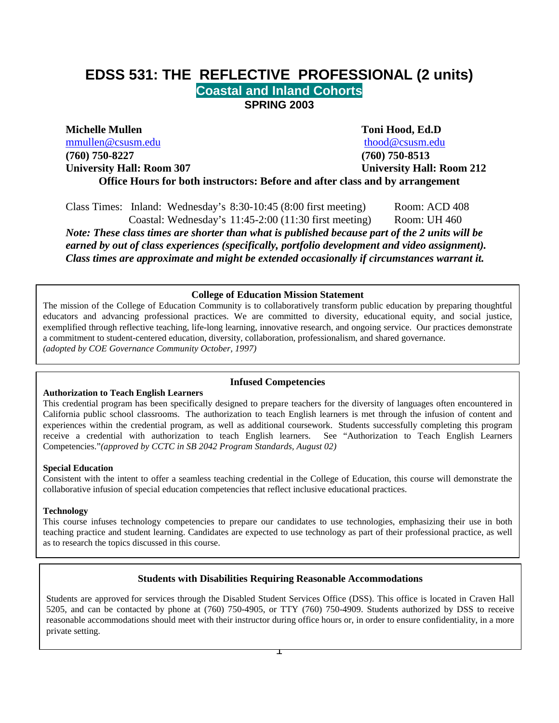# **EDSS 531: THE REFLECTIVE PROFESSIONAL (2 units) Coastal and Inland Cohorts SPRING 2003**

**Michelle Mullen Toni Hood, Ed.D** [mmullen@csusm.edu](mailto:mmullen@mailhost1.csusm.edu) [thood@csusm.edu](mailto:thood@csusm.edu) **(760) 750-8227 (760) 750-8513**

**University Hall: Room 307 University Hall: Room 212**

**Office Hours for both instructors: Before and after class and by arrangement**

Class Times: Inland: Wednesday's 8:30-10:45 (8:00 first meeting) Room: ACD 408 Coastal: Wednesday's 11:45-2:00 (11:30 first meeting) Room: UH 460 *Note: These class times are shorter than what is published because part of the 2 units will be earned by out of class experiences (specifically, portfolio development and video assignment). Class times are approximate and might be extended occasionally if circumstances warrant it.* 

#### **College of Education Mission Statement**

The mission of the College of Education Community is to collaboratively transform public education by preparing thoughtful educators and advancing professional practices. We are committed to diversity, educational equity, and social justice, exemplified through reflective teaching, life-long learning, innovative research, and ongoing service. Our practices demonstrate a commitment to student-centered education, diversity, collaboration, professionalism, and shared governance. *(adopted by COE Governance Community October, 1997)*

#### **Authorization to Teach English Learners**

#### **Infused Competencies**

This credential program has been specifically designed to prepare teachers for the diversity of languages often encountered in California public school classrooms. The authorization to teach English learners is met through the infusion of content and experiences within the credential program, as well as additional coursework. Students successfully completing this program receive a credential with authorization to teach English learners. See "Authorization to Teach English Learners Competencies."*(approved by CCTC in SB 2042 Program Standards, August 02)* 

#### **Special Education**

Consistent with the intent to offer a seamless teaching credential in the College of Education, this course will demonstrate the collaborative infusion of special education competencies that reflect inclusive educational practices.

#### **Technology**

This course infuses technology competencies to prepare our candidates to use technologies, emphasizing their use in both teaching practice and student learning. Candidates are expected to use technology as part of their professional practice, as well as to research the topics discussed in this course.

#### **Students with Disabilities Requiring Reasonable Accommodations**

Students are approved for services through the Disabled Student Services Office (DSS). This office is located in Craven Hall 5205, and can be contacted by phone at (760) 750-4905, or TTY (760) 750-4909. Students authorized by DSS to receive reasonable accommodations should meet with their instructor during office hours or, in order to ensure confidentiality, in a more private setting.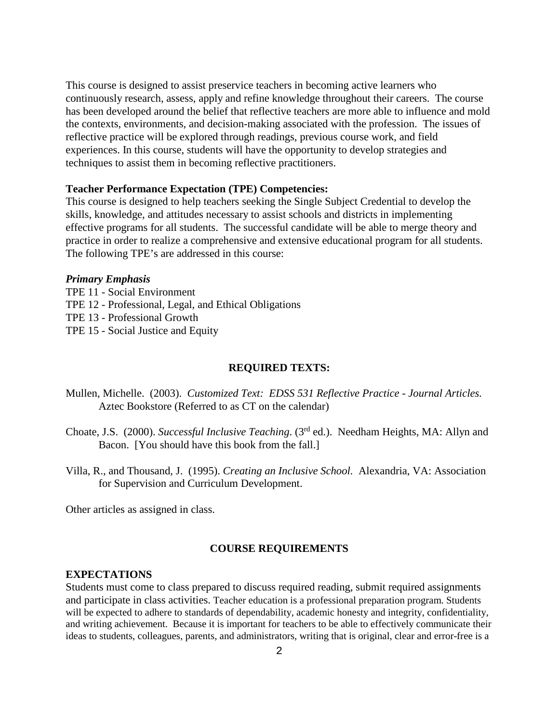This course is designed to assist preservice teachers in becoming active learners who continuously research, assess, apply and refine knowledge throughout their careers. The course has been developed around the belief that reflective teachers are more able to influence and mold the contexts, environments, and decision-making associated with the profession. The issues of reflective practice will be explored through readings, previous course work, and field experiences. In this course, students will have the opportunity to develop strategies and techniques to assist them in becoming reflective practitioners.

#### **Teacher Performance Expectation (TPE) Competencies:**

This course is designed to help teachers seeking the Single Subject Credential to develop the skills, knowledge, and attitudes necessary to assist schools and districts in implementing effective programs for all students. The successful candidate will be able to merge theory and practice in order to realize a comprehensive and extensive educational program for all students. The following TPE's are addressed in this course:

#### *Primary Emphasis*

TPE 11 - Social Environment TPE 12 - Professional, Legal, and Ethical Obligations TPE 13 - Professional Growth TPE 15 - Social Justice and Equity

#### **REQUIRED TEXTS:**

- Mullen, Michelle. (2003). *Customized Text: EDSS 531 Reflective Practice - Journal Articles.* Aztec Bookstore (Referred to as CT on the calendar)
- Choate, J.S. (2000). *Successful Inclusive Teaching*. (3rd ed.). Needham Heights, MA: Allyn and Bacon. [You should have this book from the fall.]
- Villa, R., and Thousand, J. (1995). *Creating an Inclusive School.* Alexandria, VA: Association for Supervision and Curriculum Development.

Other articles as assigned in class.

#### **COURSE REQUIREMENTS**

#### **EXPECTATIONS**

Students must come to class prepared to discuss required reading, submit required assignments and participate in class activities. Teacher education is a professional preparation program. Students will be expected to adhere to standards of dependability, academic honesty and integrity, confidentiality, and writing achievement. Because it is important for teachers to be able to effectively communicate their ideas to students, colleagues, parents, and administrators, writing that is original, clear and error-free is a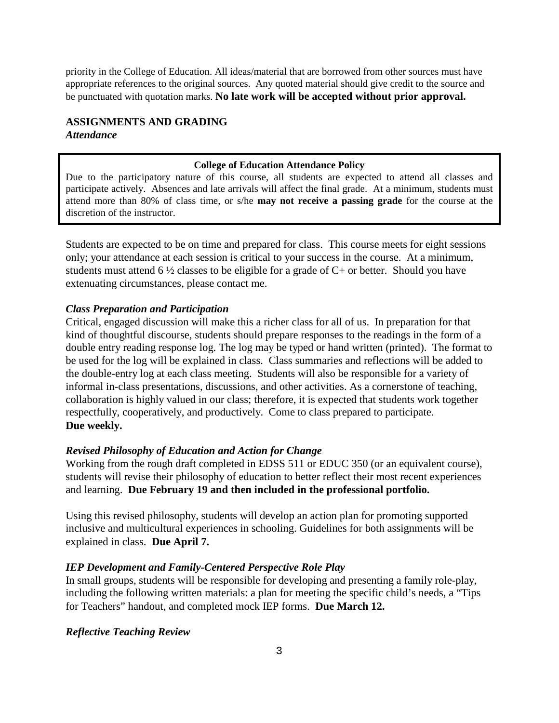priority in the College of Education. All ideas/material that are borrowed from other sources must have appropriate references to the original sources. Any quoted material should give credit to the source and be punctuated with quotation marks. **No late work will be accepted without prior approval.**

### **ASSIGNMENTS AND GRADING** *Attendance*

#### **College of Education Attendance Policy**

Due to the participatory nature of this course, all students are expected to attend all classes and participate actively. Absences and late arrivals will affect the final grade. At a minimum, students must attend more than 80% of class time, or s/he **may not receive a passing grade** for the course at the discretion of the instructor.

Students are expected to be on time and prepared for class. This course meets for eight sessions only; your attendance at each session is critical to your success in the course. At a minimum, students must attend 6  $\frac{1}{2}$  classes to be eligible for a grade of C+ or better. Should you have extenuating circumstances, please contact me.

#### *Class Preparation and Participation*

Critical, engaged discussion will make this a richer class for all of us. In preparation for that kind of thoughtful discourse, students should prepare responses to the readings in the form of a double entry reading response log. The log may be typed or hand written (printed). The format to be used for the log will be explained in class. Class summaries and reflections will be added to the double-entry log at each class meeting. Students will also be responsible for a variety of informal in-class presentations, discussions, and other activities. As a cornerstone of teaching, collaboration is highly valued in our class; therefore, it is expected that students work together respectfully, cooperatively, and productively. Come to class prepared to participate. **Due weekly.**

#### *Revised Philosophy of Education and Action for Change*

Working from the rough draft completed in EDSS 511 or EDUC 350 (or an equivalent course), students will revise their philosophy of education to better reflect their most recent experiences and learning. **Due February 19 and then included in the professional portfolio.**

Using this revised philosophy, students will develop an action plan for promoting supported inclusive and multicultural experiences in schooling. Guidelines for both assignments will be explained in class. **Due April 7.**

#### *IEP Development and Family-Centered Perspective Role Play*

In small groups, students will be responsible for developing and presenting a family role-play, including the following written materials: a plan for meeting the specific child's needs, a "Tips for Teachers" handout, and completed mock IEP forms. **Due March 12.**

#### *Reflective Teaching Review*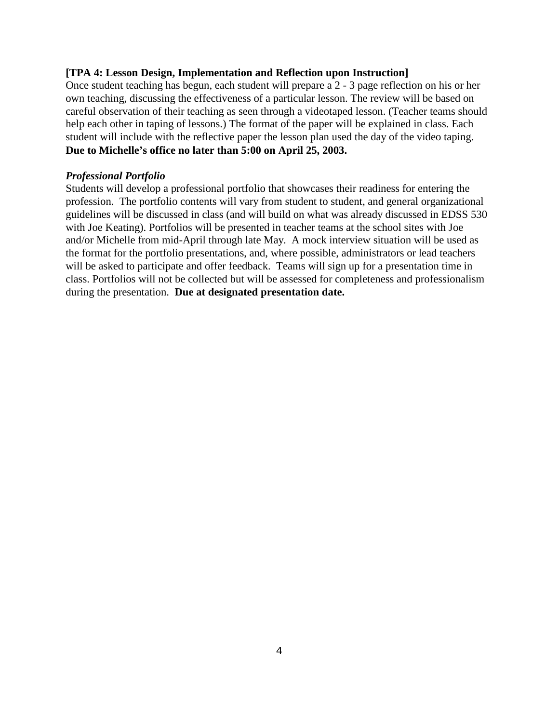### **[TPA 4: Lesson Design, Implementation and Reflection upon Instruction]**

Once student teaching has begun, each student will prepare a 2 - 3 page reflection on his or her own teaching, discussing the effectiveness of a particular lesson. The review will be based on careful observation of their teaching as seen through a videotaped lesson. (Teacher teams should help each other in taping of lessons.) The format of the paper will be explained in class. Each student will include with the reflective paper the lesson plan used the day of the video taping. **Due to Michelle's office no later than 5:00 on April 25, 2003.**

### *Professional Portfolio*

Students will develop a professional portfolio that showcases their readiness for entering the profession. The portfolio contents will vary from student to student, and general organizational guidelines will be discussed in class (and will build on what was already discussed in EDSS 530 with Joe Keating). Portfolios will be presented in teacher teams at the school sites with Joe and/or Michelle from mid-April through late May. A mock interview situation will be used as the format for the portfolio presentations, and, where possible, administrators or lead teachers will be asked to participate and offer feedback. Teams will sign up for a presentation time in class. Portfolios will not be collected but will be assessed for completeness and professionalism during the presentation. **Due at designated presentation date.**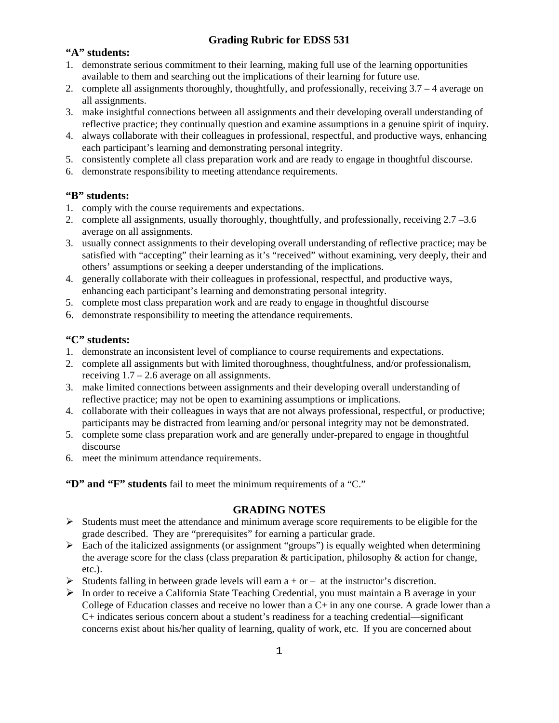## **Grading Rubric for EDSS 531**

### **"A" students:**

- 1. demonstrate serious commitment to their learning, making full use of the learning opportunities available to them and searching out the implications of their learning for future use.
- 2. complete all assignments thoroughly, thoughtfully, and professionally, receiving 3.7 4 average on all assignments.
- 3. make insightful connections between all assignments and their developing overall understanding of reflective practice; they continually question and examine assumptions in a genuine spirit of inquiry.
- 4. always collaborate with their colleagues in professional, respectful, and productive ways, enhancing each participant's learning and demonstrating personal integrity.
- 5. consistently complete all class preparation work and are ready to engage in thoughtful discourse.
- 6. demonstrate responsibility to meeting attendance requirements.

### **"B" students:**

- 1. comply with the course requirements and expectations.
- 2. complete all assignments, usually thoroughly, thoughtfully, and professionally, receiving 2.7 –3.6 average on all assignments.
- 3. usually connect assignments to their developing overall understanding of reflective practice; may be satisfied with "accepting" their learning as it's "received" without examining, very deeply, their and others' assumptions or seeking a deeper understanding of the implications.
- 4. generally collaborate with their colleagues in professional, respectful, and productive ways, enhancing each participant's learning and demonstrating personal integrity.
- 5. complete most class preparation work and are ready to engage in thoughtful discourse
- 6. demonstrate responsibility to meeting the attendance requirements.

### **"C" students:**

- 1. demonstrate an inconsistent level of compliance to course requirements and expectations.
- 2. complete all assignments but with limited thoroughness, thoughtfulness, and/or professionalism, receiving  $1.7 - 2.6$  average on all assignments.
- 3. make limited connections between assignments and their developing overall understanding of reflective practice; may not be open to examining assumptions or implications.
- 4. collaborate with their colleagues in ways that are not always professional, respectful, or productive; participants may be distracted from learning and/or personal integrity may not be demonstrated.
- 5. complete some class preparation work and are generally under-prepared to engage in thoughtful discourse
- 6. meet the minimum attendance requirements.

**"D" and "F" students** fail to meet the minimum requirements of a "C."

#### **GRADING NOTES**

- $\triangleright$  Students must meet the attendance and minimum average score requirements to be eligible for the grade described. They are "prerequisites" for earning a particular grade.
- $\triangleright$  Each of the italicized assignments (or assignment "groups") is equally weighted when determining the average score for the class (class preparation & participation, philosophy & action for change, etc.).
- Students falling in between grade levels will earn  $a + or at$  the instructor's discretion.
- In order to receive a California State Teaching Credential, you must maintain a B average in your College of Education classes and receive no lower than a C+ in any one course. A grade lower than a C+ indicates serious concern about a student's readiness for a teaching credential—significant concerns exist about his/her quality of learning, quality of work, etc. If you are concerned about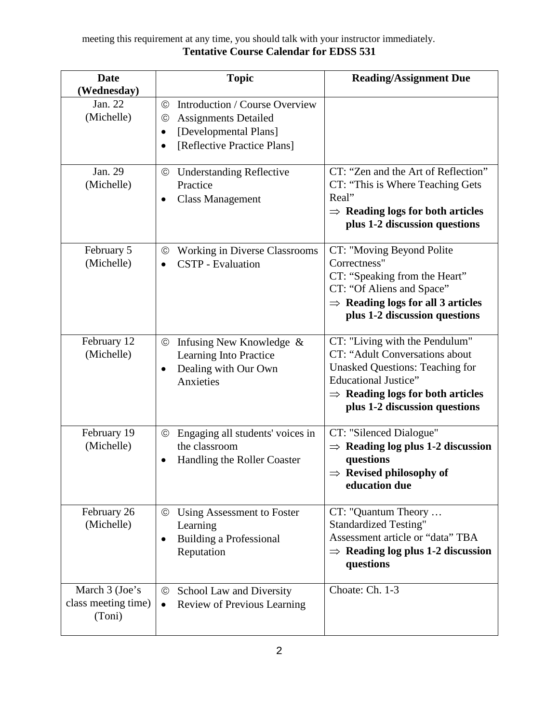### meeting this requirement at any time, you should talk with your instructor immediately. **Tentative Course Calendar for EDSS 531**

| <b>Date</b><br>(Wednesday)                      | <b>Topic</b>                                                                                                                                                                | <b>Reading/Assignment Due</b>                                                                                                                                                                                              |
|-------------------------------------------------|-----------------------------------------------------------------------------------------------------------------------------------------------------------------------------|----------------------------------------------------------------------------------------------------------------------------------------------------------------------------------------------------------------------------|
| Jan. 22<br>(Michelle)                           | Introduction / Course Overview<br>$_{\odot}$<br><b>Assignments Detailed</b><br>$_{\odot}$<br>[Developmental Plans]<br>$\bullet$<br>[Reflective Practice Plans]<br>$\bullet$ |                                                                                                                                                                                                                            |
| Jan. 29<br>(Michelle)                           | <b>Understanding Reflective</b><br>$_{\odot}$<br>Practice<br><b>Class Management</b><br>٠                                                                                   | CT: "Zen and the Art of Reflection"<br>CT: "This is Where Teaching Gets<br>Real"<br>$\Rightarrow$ Reading logs for both articles<br>plus 1-2 discussion questions                                                          |
| February 5<br>(Michelle)                        | <b>Working in Diverse Classrooms</b><br>$_{\odot}$<br><b>CSTP</b> - Evaluation<br>$\bullet$                                                                                 | CT: "Moving Beyond Polite<br>Correctness"<br>CT: "Speaking from the Heart"<br>CT: "Of Aliens and Space"<br>$\Rightarrow$ Reading logs for all 3 articles<br>plus 1-2 discussion questions                                  |
| February 12<br>(Michelle)                       | Infusing New Knowledge &<br>$^\copyright$<br>Learning Into Practice<br>Dealing with Our Own<br>$\bullet$<br>Anxieties                                                       | CT: "Living with the Pendulum"<br>CT: "Adult Conversations about<br><b>Unasked Questions: Teaching for</b><br><b>Educational Justice"</b><br>$\Rightarrow$ Reading logs for both articles<br>plus 1-2 discussion questions |
| February 19<br>(Michelle)                       | Engaging all students' voices in<br>$_{\odot}$<br>the classroom<br>Handling the Roller Coaster<br>$\bullet$                                                                 | CT: "Silenced Dialogue"<br>$\Rightarrow$ Reading log plus 1-2 discussion<br>questions<br>$\Rightarrow$ Revised philosophy of<br>education due                                                                              |
| February 26<br>(Michelle)                       | Using Assessment to Foster<br>$_{\odot}$<br>Learning<br><b>Building a Professional</b><br>٠<br>Reputation                                                                   | CT: "Quantum Theory<br><b>Standardized Testing"</b><br>Assessment article or "data" TBA<br>$\Rightarrow$ Reading log plus 1-2 discussion<br>questions                                                                      |
| March 3 (Joe's<br>class meeting time)<br>(Toni) | School Law and Diversity<br>$\odot$<br><b>Review of Previous Learning</b><br>$\bullet$                                                                                      | Choate: Ch. 1-3                                                                                                                                                                                                            |